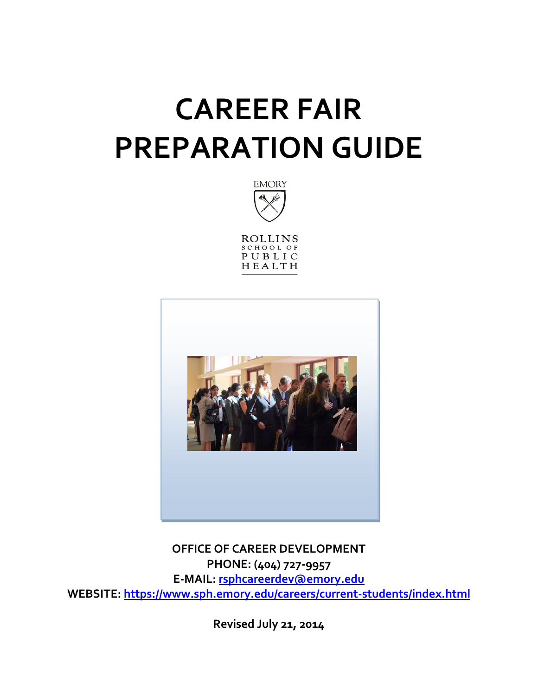# **CAREER FAIR PREPARATION GUIDE**



ROLLINS<br>SCHOOL OF PUBLIC HEALTH



**OFFICE OF CAREER DEVELOPMENT PHONE: (404) 727-9957 E-MAIL: [rsphcareerdev@emory.edu](mailto:rsphcareerdev@emory.edu) WEBSITE:<https://www.sph.emory.edu/careers/current-students/index.html>**

**Revised July 21, 2014**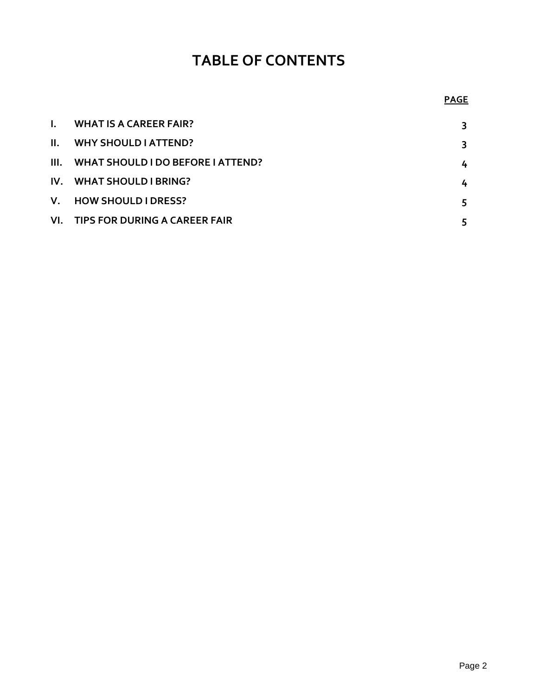# **TABLE OF CONTENTS**

# **PAGE**

| $\mathbf{L}$ | <b>WHAT IS A CAREER FAIR?</b>            | 3 |
|--------------|------------------------------------------|---|
| H.           | <b>WHY SHOULD LATTEND?</b>               | 3 |
| III.         | <b>WHAT SHOULD I DO BEFORE I ATTEND?</b> | 4 |
|              | IV. WHAT SHOULD I BRING?                 | 4 |
|              | V. HOW SHOULD I DRESS?                   | 5 |
|              | VI. TIPS FOR DURING A CAREER FAIR        |   |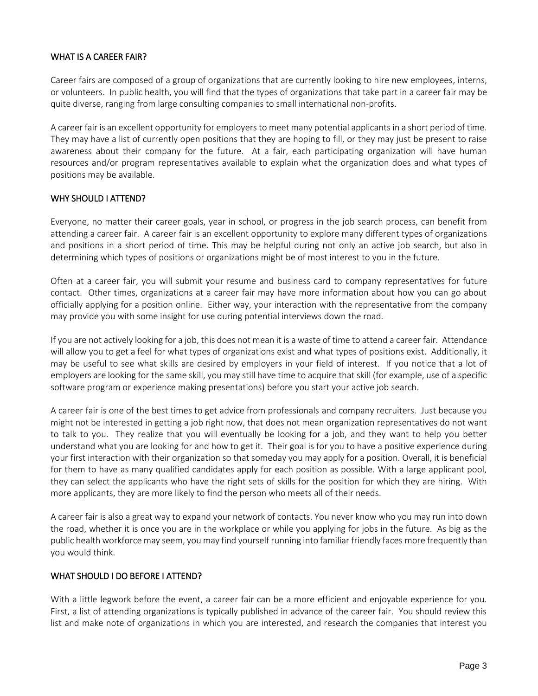# WHAT IS A CAREER FAIR?

Career fairs are composed of a group of organizations that are currently looking to hire new employees, interns, or volunteers. In public health, you will find that the types of organizations that take part in a career fair may be quite diverse, ranging from large consulting companies to small international non-profits.

A career fair is an excellent opportunity for employers to meet many potential applicants in a short period of time. They may have a list of currently open positions that they are hoping to fill, or they may just be present to raise awareness about their company for the future. At a fair, each participating organization will have human resources and/or program representatives available to explain what the organization does and what types of positions may be available.

# WHY SHOULD I ATTEND?

Everyone, no matter their career goals, year in school, or progress in the job search process, can benefit from attending a career fair. A career fair is an excellent opportunity to explore many different types of organizations and positions in a short period of time. This may be helpful during not only an active job search, but also in determining which types of positions or organizations might be of most interest to you in the future.

Often at a career fair, you will submit your resume and business card to company representatives for future contact. Other times, organizations at a career fair may have more information about how you can go about officially applying for a position online. Either way, your interaction with the representative from the company may provide you with some insight for use during potential interviews down the road.

If you are not actively looking for a job, this does not mean it is a waste of time to attend a career fair. Attendance will allow you to get a feel for what types of organizations exist and what types of positions exist. Additionally, it may be useful to see what skills are desired by employers in your field of interest. If you notice that a lot of employers are looking for the same skill, you may still have time to acquire that skill (for example, use of a specific software program or experience making presentations) before you start your active job search.

A career fair is one of the best times to get advice from professionals and company recruiters. Just because you might not be interested in getting a job right now, that does not mean organization representatives do not want to talk to you. They realize that you will eventually be looking for a job, and they want to help you better understand what you are looking for and how to get it. Their goal is for you to have a positive experience during your first interaction with their organization so that someday you may apply for a position. Overall, it is beneficial for them to have as many qualified candidates apply for each position as possible. With a large applicant pool, they can select the applicants who have the right sets of skills for the position for which they are hiring. With more applicants, they are more likely to find the person who meets all of their needs.

A career fair is also a great way to expand your network of contacts. You never know who you may run into down the road, whether it is once you are in the workplace or while you applying for jobs in the future. As big as the public health workforce may seem, you may find yourself running into familiar friendly faces more frequently than you would think.

#### WHAT SHOULD I DO BEFORE I ATTEND?

With a little legwork before the event, a career fair can be a more efficient and enjoyable experience for you. First, a list of attending organizations is typically published in advance of the career fair. You should review this list and make note of organizations in which you are interested, and research the companies that interest you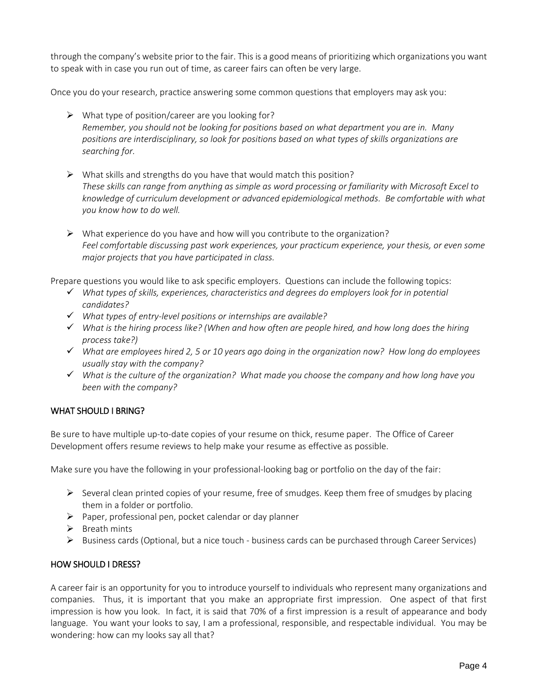through the company's website prior to the fair. This is a good means of prioritizing which organizations you want to speak with in case you run out of time, as career fairs can often be very large.

Once you do your research, practice answering some common questions that employers may ask you:

- $\triangleright$  What type of position/career are you looking for? *Remember, you should not be looking for positions based on what department you are in. Many positions are interdisciplinary, so look for positions based on what types of skills organizations are searching for.*
- $\triangleright$  What skills and strengths do you have that would match this position? *These skills can range from anything as simple as word processing or familiarity with Microsoft Excel to knowledge of curriculum development or advanced epidemiological methods. Be comfortable with what you know how to do well.*
- $\triangleright$  What experience do you have and how will you contribute to the organization? *Feel comfortable discussing past work experiences, your practicum experience, your thesis, or even some major projects that you have participated in class.*

Prepare questions you would like to ask specific employers. Questions can include the following topics:

- *What types of skills, experiences, characteristics and degrees do employers look for in potential candidates?*
- *What types of entry-level positions or internships are available?*
- *What is the hiring process like? (When and how often are people hired, and how long does the hiring process take?)*
- *What are employees hired 2, 5 or 10 years ago doing in the organization now? How long do employees usually stay with the company?*
- *What is the culture of the organization? What made you choose the company and how long have you been with the company?*

# WHAT SHOULD I BRING?

Be sure to have multiple up-to-date copies of your resume on thick, resume paper. The Office of Career Development offers resume reviews to help make your resume as effective as possible.

Make sure you have the following in your professional-looking bag or portfolio on the day of the fair:

- $\triangleright$  Several clean printed copies of your resume, free of smudges. Keep them free of smudges by placing them in a folder or portfolio.
- $\triangleright$  Paper, professional pen, pocket calendar or day planner
- $\triangleright$  Breath mints
- $\triangleright$  Business cards (Optional, but a nice touch business cards can be purchased through Career Services)

# HOW SHOULD I DRESS?

A career fair is an opportunity for you to introduce yourself to individuals who represent many organizations and companies. Thus, it is important that you make an appropriate first impression. One aspect of that first impression is how you look. In fact, it is said that 70% of a first impression is a result of appearance and body language. You want your looks to say, I am a professional, responsible, and respectable individual. You may be wondering: how can my looks say all that?